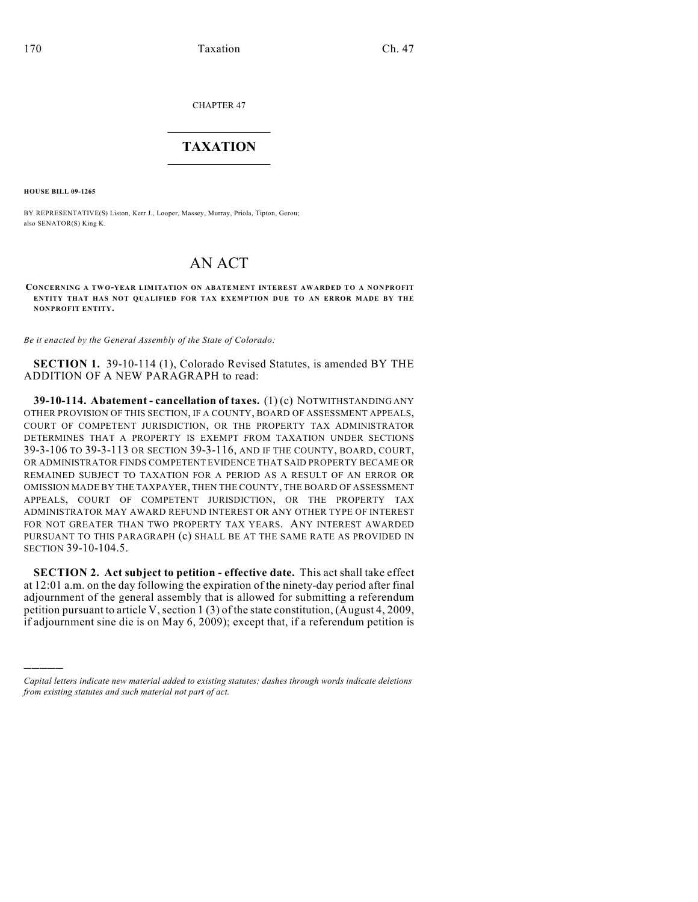CHAPTER 47

## $\overline{\phantom{a}}$  . The set of the set of the set of the set of the set of the set of the set of the set of the set of the set of the set of the set of the set of the set of the set of the set of the set of the set of the set o **TAXATION**  $\_$

**HOUSE BILL 09-1265**

)))))

BY REPRESENTATIVE(S) Liston, Kerr J., Looper, Massey, Murray, Priola, Tipton, Gerou; also SENATOR(S) King K.

## AN ACT

**CONCERNING A TW O-YEAR LIMITATION ON ABATEMENT INTEREST AWARDED TO A NONPROFIT ENTITY THAT HAS NOT QUALIFIED FOR TAX EXEMPTION DUE TO AN ERROR MADE BY THE NONPROFIT ENTITY.**

*Be it enacted by the General Assembly of the State of Colorado:*

**SECTION 1.** 39-10-114 (1), Colorado Revised Statutes, is amended BY THE ADDITION OF A NEW PARAGRAPH to read:

**39-10-114. Abatement - cancellation of taxes.** (1) (c) NOTWITHSTANDING ANY OTHER PROVISION OF THIS SECTION, IF A COUNTY, BOARD OF ASSESSMENT APPEALS, COURT OF COMPETENT JURISDICTION, OR THE PROPERTY TAX ADMINISTRATOR DETERMINES THAT A PROPERTY IS EXEMPT FROM TAXATION UNDER SECTIONS 39-3-106 TO 39-3-113 OR SECTION 39-3-116, AND IF THE COUNTY, BOARD, COURT, OR ADMINISTRATOR FINDS COMPETENT EVIDENCE THAT SAID PROPERTY BECAME OR REMAINED SUBJECT TO TAXATION FOR A PERIOD AS A RESULT OF AN ERROR OR OMISSION MADE BY THE TAXPAYER, THEN THE COUNTY, THE BOARD OF ASSESSMENT APPEALS, COURT OF COMPETENT JURISDICTION, OR THE PROPERTY TAX ADMINISTRATOR MAY AWARD REFUND INTEREST OR ANY OTHER TYPE OF INTEREST FOR NOT GREATER THAN TWO PROPERTY TAX YEARS. ANY INTEREST AWARDED PURSUANT TO THIS PARAGRAPH (c) SHALL BE AT THE SAME RATE AS PROVIDED IN SECTION 39-10-104.5.

**SECTION 2. Act subject to petition - effective date.** This act shall take effect at 12:01 a.m. on the day following the expiration of the ninety-day period after final adjournment of the general assembly that is allowed for submitting a referendum petition pursuant to article V, section 1 (3) of the state constitution, (August 4, 2009, if adjournment sine die is on May 6, 2009); except that, if a referendum petition is

*Capital letters indicate new material added to existing statutes; dashes through words indicate deletions from existing statutes and such material not part of act.*